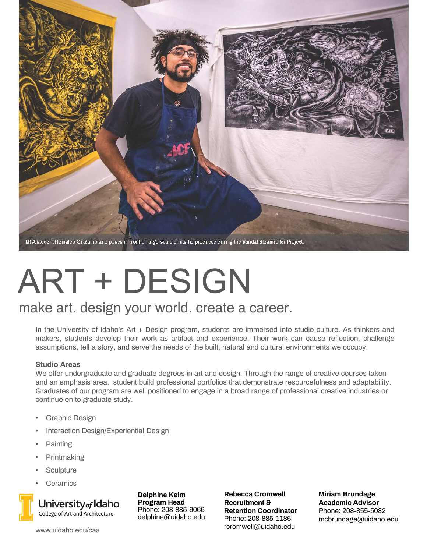

# ART + DESIGN

### make art. design your world. create a career.

In the University of Idaho's Art + Design program, students are immersed into studio culture. As thinkers and makers, students develop their work as artifact and experience. Their work can cause reflection, challenge assumptions, tell a story, and serve the needs of the built, natural and cultural environments we occupy.

#### **Studio Areas**

We offer undergraduate and graduate degrees in art and design. Through the range of creative courses taken and an emphasis area, student build professional portfolios that demonstrate resourcefulness and adaptability. Graduates of our program are well positioned to engage in a broad range of professional creative industries or continue on to graduate study.

- Graphic Design
- Interaction Design/Experiential Design
- Painting
- Printmaking
- **Sculpture**
- **Ceramics**



University<sub>of</sub> Idaho College of Art and Architecture

**Delphine Keim Program Head** Phone: 208-885-9066 delphine@uidaho.edu **Rebecca Cromwell Recruitment & Retention Coordinator** Phone: 208-885-1186 rcromwell@uidaho.edu

**Miriam Brundage Academic Advisor** Phone: 208-855-5082 mcbrundage@uidaho.edu

www.uidaho.edu/caa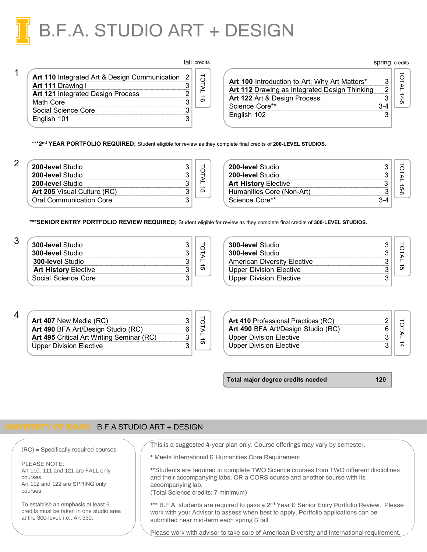

|                                                 | TAIL Credits |
|-------------------------------------------------|--------------|
| Art 110 Integrated Art & Design Communication 2 |              |
| <b>Art 111 Drawing I</b>                        |              |
| <b>Art 121 Integrated Design Process</b>        |              |
| Math Core                                       |              |
| Social Science Core                             |              |
| English 101                                     |              |
|                                                 |              |

| fall credits |                                                                                                                                       | spring credits |  |
|--------------|---------------------------------------------------------------------------------------------------------------------------------------|----------------|--|
|              | <b>Art 100</b> Introduction to Art: Why Art Matters*<br>Art 112 Drawing as Integrated Design Thinking<br>Art 122 Art & Design Process |                |  |
| თ            | Science Core**                                                                                                                        |                |  |
|              | English 102                                                                                                                           |                |  |

\*\*\***2nd YEAR PORTFOLIO REQUIRED;** Student eligible for review as they complete final credits of **200-LEVEL STUDIOS.**

| 200-level Studio                   |  |
|------------------------------------|--|
| 200-level Studio                   |  |
| 200-level Studio                   |  |
| <b>Art 205</b> Visual Culture (RC) |  |
| <b>Oral Communication Core</b>     |  |

| 200-level Studio<br>200-level Studio |  |
|--------------------------------------|--|
| <b>Art History Elective</b>          |  |
| Humanities Core (Non-Art)            |  |
| Science Core**                       |  |

**\*\*\*SENIOR ENTRY PORTFOLIO REVIEW REQUIRED;** Student eligible for review as they complete final credits of **300-LEVEL STUDIOS.** 

| <b>300-level Studio</b>     |  |
|-----------------------------|--|
| <b>300-level Studio</b>     |  |
| <b>300-level Studio</b>     |  |
| <b>Art History Elective</b> |  |
| Social Science Core         |  |

| <b>300-level Studio</b>        |  |
|--------------------------------|--|
| <b>300-level Studio</b>        |  |
| American Diversity Elective    |  |
| Upper Division Elective        |  |
| <b>Upper Division Elective</b> |  |

4

3

1

| <b>Art 407</b> New Media (RC)             |  |
|-------------------------------------------|--|
| <b>Art 490</b> BFA Art/Design Studio (RC) |  |
| Art 495 Critical Art Writing Seminar (RC) |  |
| Upper Division Elective                   |  |

| Art 410 Professional Practices (RC)                                  |  |
|----------------------------------------------------------------------|--|
| Art 490 BFA Art/Design Studio (RC)<br><b>Upper Division Elective</b> |  |
| <b>Upper Division Elective</b>                                       |  |

**Total major degree credits needed 120**

spring credits

#### **UNIVERSITY OF IDAHO** B.F.A STUDIO ART + DESIGN

(RC) = Specifically required courses

PLEASE NOTE: Art 110, 111 and 121 are FALL only courses. Art 112 and 122 are SPRING only courses.

To establish an emphasis at least 6 credits must be taken in one studio area at the 300-level, i.e., Art 330.

This is a suggested 4-year plan only. Course offerings may vary by semester.

\* Meets International & Humanities Core Requirement

\*\*Students are required to complete TWO Science courses from TWO different disciplines and their accompanying labs, OR a CORS course and another course with its accompanying lab.

(Total Science credits: 7 minimum)

\*\*\* B.F.A. students are required to pass a 2<sup>nd</sup> Year & Senior Entry Portfolio Review. Please work with your Advisor to assess when best to apply. Portfolio applications can be submitted near mid-term each spring & fall.

Please work with advisor to take care of American Diversity and International requirement.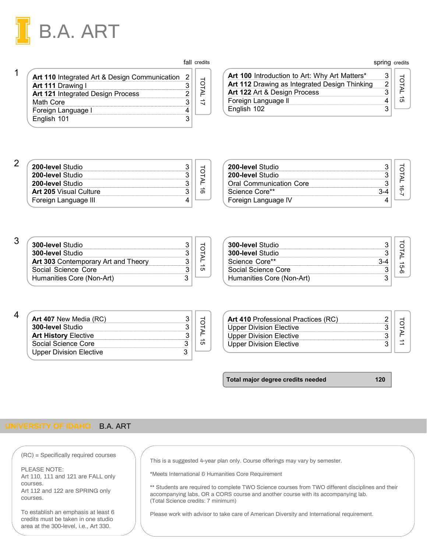

| Art 110 Integrated Art & Design Communication 2 |  |
|-------------------------------------------------|--|
| Art 111 Drawing I                               |  |
| Art 121 Integrated Design Process               |  |
| Math Core                                       |  |
| Foreign Language I                              |  |
| English 101                                     |  |

fall credits

| credits     |                                               | spring credits |  |
|-------------|-----------------------------------------------|----------------|--|
| <b>DTAL</b> | Art 100 Introduction to Art: Why Art Matters* |                |  |
|             | Art 112 Drawing as Integrated Design Thinking |                |  |
|             | Art 122 Art & Design Process                  |                |  |
|             | Foreign Language II                           |                |  |
|             | English 102                                   |                |  |

#### 2

1

| <b>200-level Studio</b>       |  |
|-------------------------------|--|
| 200-level Studio              |  |
| 200-level Studio              |  |
| <b>Art 205 Visual Culture</b> |  |
| Foreign Language III          |  |

| 200-level Studio               |  |
|--------------------------------|--|
| 200-level Studio               |  |
| <b>Oral Communication Core</b> |  |
| Science Core**                 |  |
| Foreign Language IV            |  |

#### 3

| <b>300-level Studio</b>                    |  |
|--------------------------------------------|--|
| <b>300-level Studio</b>                    |  |
| <b>Art 303 Contemporary Art and Theory</b> |  |
| Social Science Core                        |  |
| Humanities Core (Non-Art)                  |  |

| <b>300-level Studio</b>   |  |
|---------------------------|--|
| <b>300-level Studio</b>   |  |
| Science Core**            |  |
| Social Science Core       |  |
| Humanities Core (Non-Art) |  |

| <b>Art 407 New Media (RC)</b> |  |
|-------------------------------|--|
| <b>300-level Studio</b>       |  |
| <b>Art History Elective</b>   |  |
| Social Science Core           |  |
| Upper Division Elective       |  |

| Art 410 Professional Practices (RC) |  |  |
|-------------------------------------|--|--|
| <b>Upper Division Elective</b>      |  |  |
| <b>Upper Division Elective</b>      |  |  |
| <b>Upper Division Elective</b>      |  |  |
|                                     |  |  |

**Total major degree credits needed 120**

#### **UNIVERSITY OF IDAHO** B.A. ART

(RC) = Specifically required courses

PLEASE NOTE: Art 110, 111 and 121 are FALL only courses. Art 112 and 122 are SPRING only courses.

To establish an emphasis at least 6 credits must be taken in one studio area at the 300-level, i.e., Art 330.

This is a suggested 4-year plan only. Course offerings may vary by semester.

\*Meets International & Humanities Core Requirement

\*\* Students are required to complete TWO Science courses from TWO different disciplines and their accompanying labs, OR a CORS course and another course with its accompanying lab. (Total Science credits: 7 minimum)

Please work with advisor to take care of American Diversity and International requirement.